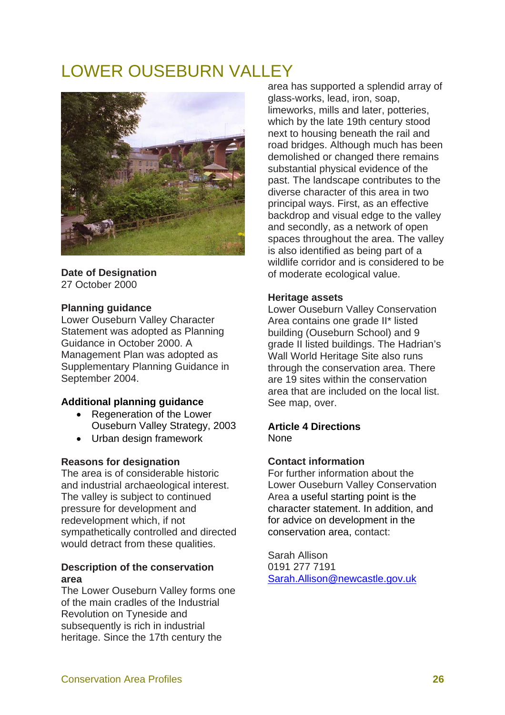# LOWER OUSEBURN VALLEY



#### **Date of Designation**  27 October 2000

# **Planning guidance**

Lower Ouseburn Valley Character Statement was adopted as Planning Guidance in October 2000. A Management Plan was adopted as Supplementary Planning Guidance in September 2004.

# **Additional planning guidance**

- Regeneration of the Lower Ouseburn Valley Strategy, 2003
- Urban design framework

# **Reasons for designation**

The area is of considerable historic and industrial archaeological interest. The valley is subject to continued pressure for development and redevelopment which, if not sympathetically controlled and directed would detract from these qualities.

#### **Description of the conservation area**

The Lower Ouseburn Valley forms one of the main cradles of the Industrial Revolution on Tyneside and subsequently is rich in industrial heritage. Since the 17th century the

area has supported a splendid array of glass-works, lead, iron, soap, limeworks, mills and later, potteries, which by the late 19th century stood next to housing beneath the rail and road bridges. Although much has been demolished or changed there remains substantial physical evidence of the past. The landscape contributes to the diverse character of this area in two principal ways. First, as an effective backdrop and visual edge to the valley and secondly, as a network of open spaces throughout the area. The valley is also identified as being part of a wildlife corridor and is considered to be of moderate ecological value.

# **Heritage assets**

Lower Ouseburn Valley Conservation Area contains one grade II\* listed building (Ouseburn School) and 9 grade II listed buildings. The Hadrian's Wall World Heritage Site also runs through the conservation area. There are 19 sites within the conservation area that are included on the local list. See map, over.

#### **Article 4 Directions**  None

# **Contact information**

For further information about the Lower Ouseburn Valley Conservation Area a useful starting point is the character statement. In addition, and for advice on development in the conservation area, contact:

Sarah Allison 0191 277 7191 Sarah.Allison@newcastle.gov.uk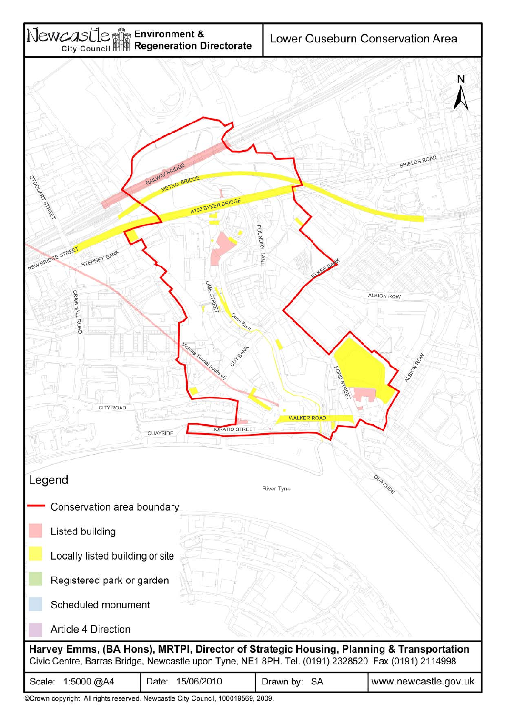

©Crown copyright. All rights reserved. Newcastle City Council, 100019569, 2009.